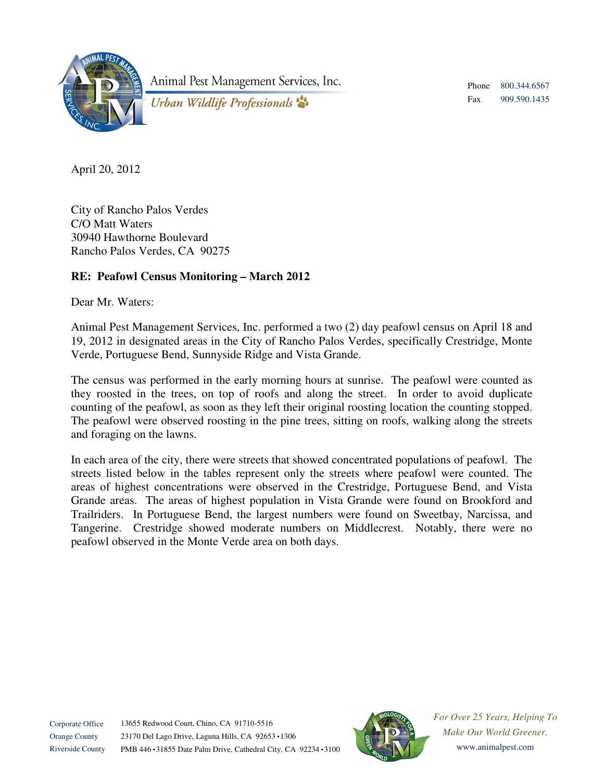

Animal Pest Management Services, Inc.

Phone Fax 800.344.6567 909.590.1435

Urban Wildlife Professionals

April 20, 2012

City of Rancho Palos Verdes C/O Matt Waters 30940 Hawthorne Boulevard Rancho Palos Verdes, CA 90275

## **RE: Peafowl Census Monitoring – March 2012**

Dear Mr. Waters:

Animal Pest Management Services, Inc. performed a two (2) day peafowl census on April 18 and 19, 2012 in designated areas in the City of Rancho Palos Verdes, specifically Crestridge, Monte Verde, Portuguese Bend, Sunnyside Ridge and Vista Grande.

The census was performed in the early morning hours at sunrise. The peafowl were counted as they roosted in the trees, on top of roofs and along the street. In order to avoid duplicate counting of the peafowl, as soon as they left their original roosting location the counting stopped. The peafowl were observed roosting in the pine trees, sitting on roofs, walking along the streets and foraging on the lawns.

In each area of the city, there were streets that showed concentrated populations of peafowl. The streets listed below in the tables represent only the streets where peafowl were counted. The areas of highest concentrations were observed in the Crestridge, Portuguese Bend, and Vista Grande areas. The areas of highest population in Vista Grande were found on Brookford and Trailriders. In Portuguese Bend, the largest numbers were found on Sweetbay, Narcissa, and Tangerine. Crestridge showed moderate numbers on Middlecrest. Notably, there were no peafowl observed in the Monte Verde area on both days.



*For Over 25 Years, Helping To Make Our World Greener.*  www.animalpest.com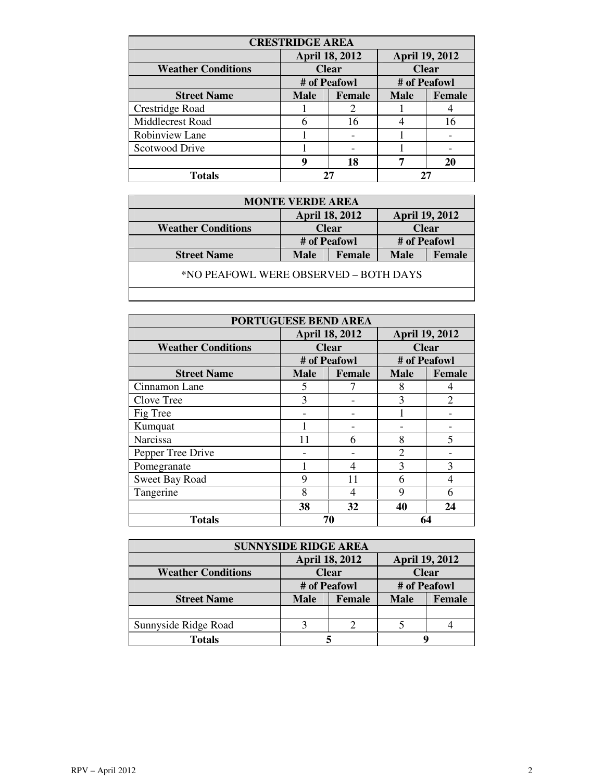| <b>CRESTRIDGE AREA</b>    |                       |               |                       |               |
|---------------------------|-----------------------|---------------|-----------------------|---------------|
|                           | <b>April 18, 2012</b> |               | <b>April 19, 2012</b> |               |
| <b>Weather Conditions</b> | <b>Clear</b>          |               | <b>Clear</b>          |               |
|                           | # of Peafowl          |               | # of Peafowl          |               |
| <b>Street Name</b>        | <b>Male</b>           | <b>Female</b> | <b>Male</b>           | <b>Female</b> |
| Crestridge Road           |                       | 2             |                       |               |
| Middlecrest Road          | 6                     | 16            |                       | 16            |
| Robinview Lane            |                       |               |                       |               |
| Scotwood Drive            |                       |               |                       |               |
|                           | g                     | 18            |                       | 20            |
| <b>Totals</b>             |                       |               | 27                    |               |

| <b>MONTE VERDE AREA</b>               |                       |        |                       |        |  |
|---------------------------------------|-----------------------|--------|-----------------------|--------|--|
|                                       | <b>April 18, 2012</b> |        | <b>April 19, 2012</b> |        |  |
| <b>Weather Conditions</b>             | <b>Clear</b>          |        | <b>Clear</b>          |        |  |
|                                       | # of Peafowl          |        | # of Peafowl          |        |  |
| <b>Street Name</b>                    | <b>Male</b>           | Female | <b>Male</b>           | Female |  |
| *NO PEAFOWL WERE OBSERVED – BOTH DAYS |                       |        |                       |        |  |
|                                       |                       |        |                       |        |  |

| <b>PORTUGUESE BEND AREA</b> |                       |               |                       |                |
|-----------------------------|-----------------------|---------------|-----------------------|----------------|
|                             | <b>April 18, 2012</b> |               | <b>April 19, 2012</b> |                |
| <b>Weather Conditions</b>   | <b>Clear</b>          |               | <b>Clear</b>          |                |
|                             | # of Peafowl          |               | # of Peafowl          |                |
| <b>Street Name</b>          | <b>Male</b>           | <b>Female</b> | <b>Male</b>           | <b>Female</b>  |
| Cinnamon Lane               | 5                     |               | 8                     | 4              |
| Clove Tree                  | 3                     |               | 3                     | $\overline{2}$ |
| Fig Tree                    |                       |               |                       |                |
| Kumquat                     |                       |               |                       |                |
| Narcissa                    | 11                    | 6             | 8                     | 5              |
| Pepper Tree Drive           |                       |               | $\mathfrak{D}$        |                |
| Pomegranate                 |                       | 4             | 3                     | 3              |
| Sweet Bay Road              | 9                     | 11            | 6                     | 4              |
| Tangerine                   | 8                     | 4             | 9                     | 6              |
|                             | 38                    | 32            | 40                    | 24             |
| <b>Totals</b>               | 70                    |               | 64                    |                |

| <b>SUNNYSIDE RIDGE AREA</b> |                       |        |                       |               |  |
|-----------------------------|-----------------------|--------|-----------------------|---------------|--|
|                             | <b>April 18, 2012</b> |        | <b>April 19, 2012</b> |               |  |
| <b>Weather Conditions</b>   | <b>Clear</b>          |        | <b>Clear</b>          |               |  |
|                             | # of Peafowl          |        | # of Peafowl          |               |  |
| <b>Street Name</b>          | <b>Male</b>           | Female | <b>Male</b>           | <b>Female</b> |  |
|                             |                       |        |                       |               |  |
| Sunnyside Ridge Road        |                       |        |                       |               |  |
| <b>Totals</b>               |                       |        |                       |               |  |